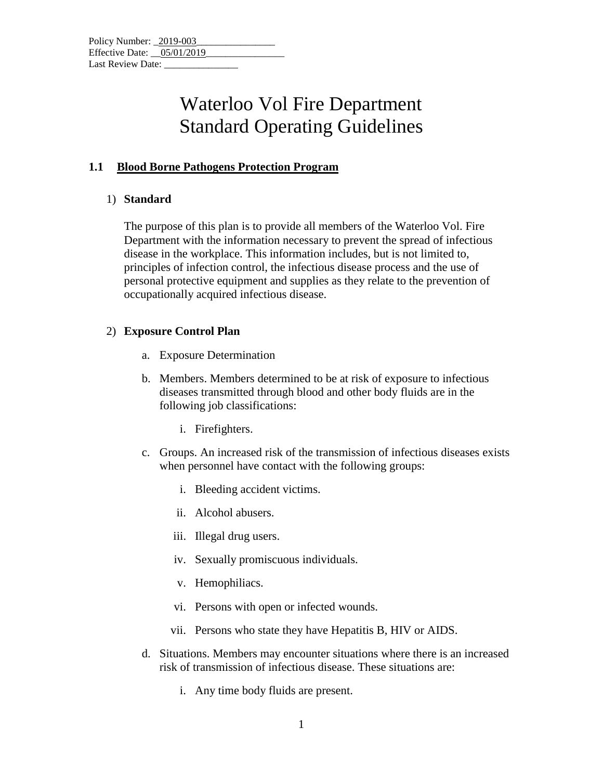### **1.1 Blood Borne Pathogens Protection Program**

#### 1) **Standard**

The purpose of this plan is to provide all members of the Waterloo Vol. Fire Department with the information necessary to prevent the spread of infectious disease in the workplace. This information includes, but is not limited to, principles of infection control, the infectious disease process and the use of personal protective equipment and supplies as they relate to the prevention of occupationally acquired infectious disease.

### 2) **Exposure Control Plan**

- a. Exposure Determination
- b. Members. Members determined to be at risk of exposure to infectious diseases transmitted through blood and other body fluids are in the following job classifications:
	- i. Firefighters.
- c. Groups. An increased risk of the transmission of infectious diseases exists when personnel have contact with the following groups:
	- i. Bleeding accident victims.
	- ii. Alcohol abusers.
	- iii. Illegal drug users.
	- iv. Sexually promiscuous individuals.
	- v. Hemophiliacs.
	- vi. Persons with open or infected wounds.
	- vii. Persons who state they have Hepatitis B, HIV or AIDS.
- d. Situations. Members may encounter situations where there is an increased risk of transmission of infectious disease. These situations are:
	- i. Any time body fluids are present.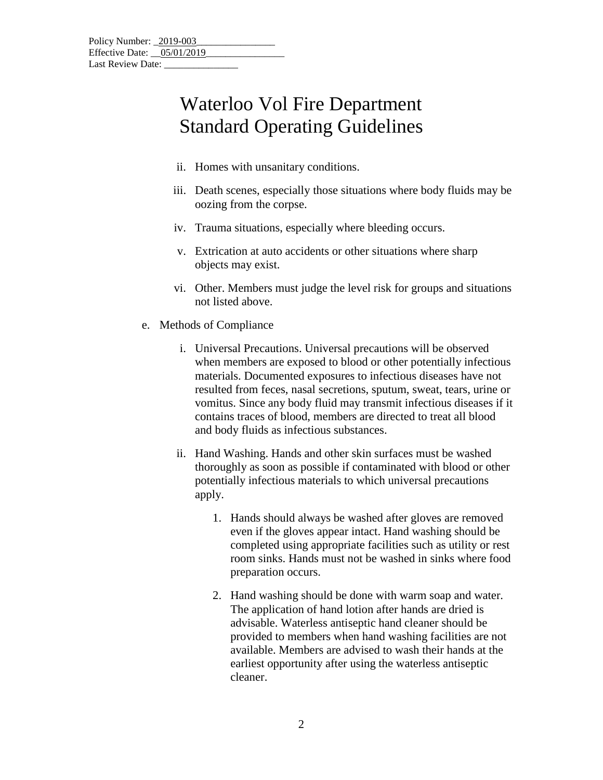- ii. Homes with unsanitary conditions.
- iii. Death scenes, especially those situations where body fluids may be oozing from the corpse.
- iv. Trauma situations, especially where bleeding occurs.
- v. Extrication at auto accidents or other situations where sharp objects may exist.
- vi. Other. Members must judge the level risk for groups and situations not listed above.
- e. Methods of Compliance
	- i. Universal Precautions. Universal precautions will be observed when members are exposed to blood or other potentially infectious materials. Documented exposures to infectious diseases have not resulted from feces, nasal secretions, sputum, sweat, tears, urine or vomitus. Since any body fluid may transmit infectious diseases if it contains traces of blood, members are directed to treat all blood and body fluids as infectious substances.
	- ii. Hand Washing. Hands and other skin surfaces must be washed thoroughly as soon as possible if contaminated with blood or other potentially infectious materials to which universal precautions apply.
		- 1. Hands should always be washed after gloves are removed even if the gloves appear intact. Hand washing should be completed using appropriate facilities such as utility or rest room sinks. Hands must not be washed in sinks where food preparation occurs.
		- 2. Hand washing should be done with warm soap and water. The application of hand lotion after hands are dried is advisable. Waterless antiseptic hand cleaner should be provided to members when hand washing facilities are not available. Members are advised to wash their hands at the earliest opportunity after using the waterless antiseptic cleaner.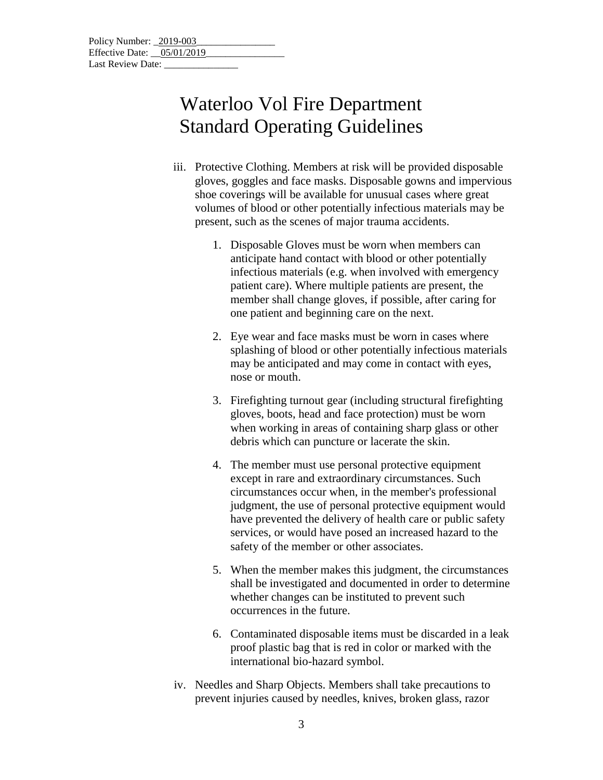- iii. Protective Clothing. Members at risk will be provided disposable gloves, goggles and face masks. Disposable gowns and impervious shoe coverings will be available for unusual cases where great volumes of blood or other potentially infectious materials may be present, such as the scenes of major trauma accidents.
	- 1. Disposable Gloves must be worn when members can anticipate hand contact with blood or other potentially infectious materials (e.g. when involved with emergency patient care). Where multiple patients are present, the member shall change gloves, if possible, after caring for one patient and beginning care on the next.
	- 2. Eye wear and face masks must be worn in cases where splashing of blood or other potentially infectious materials may be anticipated and may come in contact with eyes, nose or mouth.
	- 3. Firefighting turnout gear (including structural firefighting gloves, boots, head and face protection) must be worn when working in areas of containing sharp glass or other debris which can puncture or lacerate the skin.
	- 4. The member must use personal protective equipment except in rare and extraordinary circumstances. Such circumstances occur when, in the member's professional judgment, the use of personal protective equipment would have prevented the delivery of health care or public safety services, or would have posed an increased hazard to the safety of the member or other associates.
	- 5. When the member makes this judgment, the circumstances shall be investigated and documented in order to determine whether changes can be instituted to prevent such occurrences in the future.
	- 6. Contaminated disposable items must be discarded in a leak proof plastic bag that is red in color or marked with the international bio-hazard symbol.
- iv. Needles and Sharp Objects. Members shall take precautions to prevent injuries caused by needles, knives, broken glass, razor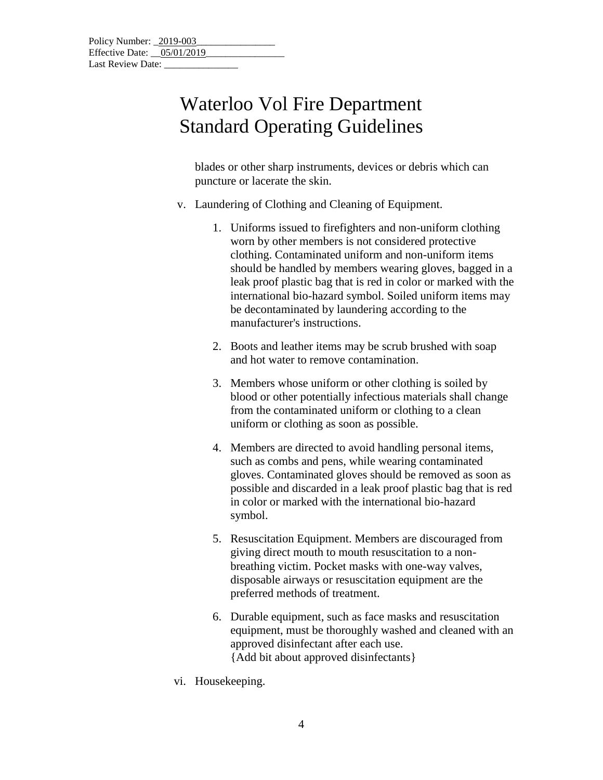blades or other sharp instruments, devices or debris which can puncture or lacerate the skin.

- v. Laundering of Clothing and Cleaning of Equipment.
	- 1. Uniforms issued to firefighters and non-uniform clothing worn by other members is not considered protective clothing. Contaminated uniform and non-uniform items should be handled by members wearing gloves, bagged in a leak proof plastic bag that is red in color or marked with the international bio-hazard symbol. Soiled uniform items may be decontaminated by laundering according to the manufacturer's instructions.
	- 2. Boots and leather items may be scrub brushed with soap and hot water to remove contamination.
	- 3. Members whose uniform or other clothing is soiled by blood or other potentially infectious materials shall change from the contaminated uniform or clothing to a clean uniform or clothing as soon as possible.
	- 4. Members are directed to avoid handling personal items, such as combs and pens, while wearing contaminated gloves. Contaminated gloves should be removed as soon as possible and discarded in a leak proof plastic bag that is red in color or marked with the international bio-hazard symbol.
	- 5. Resuscitation Equipment. Members are discouraged from giving direct mouth to mouth resuscitation to a nonbreathing victim. Pocket masks with one-way valves, disposable airways or resuscitation equipment are the preferred methods of treatment.
	- 6. Durable equipment, such as face masks and resuscitation equipment, must be thoroughly washed and cleaned with an approved disinfectant after each use. {Add bit about approved disinfectants}
- vi. Housekeeping.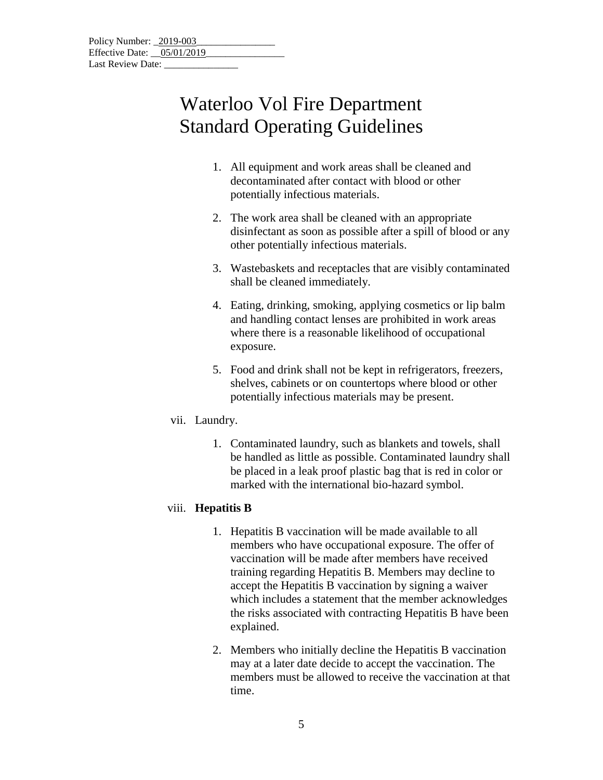| Policy Number: 2019-003      |  |
|------------------------------|--|
| Effective Date: $05/01/2019$ |  |
| Last Review Date:            |  |

- 1. All equipment and work areas shall be cleaned and decontaminated after contact with blood or other potentially infectious materials.
- 2. The work area shall be cleaned with an appropriate disinfectant as soon as possible after a spill of blood or any other potentially infectious materials.
- 3. Wastebaskets and receptacles that are visibly contaminated shall be cleaned immediately.
- 4. Eating, drinking, smoking, applying cosmetics or lip balm and handling contact lenses are prohibited in work areas where there is a reasonable likelihood of occupational exposure.
- 5. Food and drink shall not be kept in refrigerators, freezers, shelves, cabinets or on countertops where blood or other potentially infectious materials may be present.

### vii. Laundry.

1. Contaminated laundry, such as blankets and towels, shall be handled as little as possible. Contaminated laundry shall be placed in a leak proof plastic bag that is red in color or marked with the international bio-hazard symbol.

### viii. **Hepatitis B**

- 1. Hepatitis B vaccination will be made available to all members who have occupational exposure. The offer of vaccination will be made after members have received training regarding Hepatitis B. Members may decline to accept the Hepatitis B vaccination by signing a waiver which includes a statement that the member acknowledges the risks associated with contracting Hepatitis B have been explained.
- 2. Members who initially decline the Hepatitis B vaccination may at a later date decide to accept the vaccination. The members must be allowed to receive the vaccination at that time.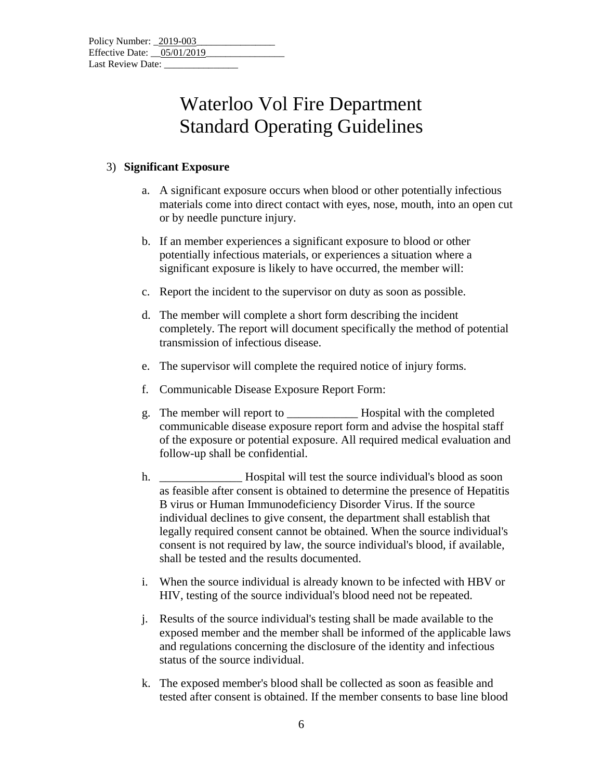### 3) **Significant Exposure**

- a. A significant exposure occurs when blood or other potentially infectious materials come into direct contact with eyes, nose, mouth, into an open cut or by needle puncture injury.
- b. If an member experiences a significant exposure to blood or other potentially infectious materials, or experiences a situation where a significant exposure is likely to have occurred, the member will:
- c. Report the incident to the supervisor on duty as soon as possible.
- d. The member will complete a short form describing the incident completely. The report will document specifically the method of potential transmission of infectious disease.
- e. The supervisor will complete the required notice of injury forms.
- f. Communicable Disease Exposure Report Form:
- g. The member will report to \_\_\_\_\_\_\_\_\_\_\_\_ Hospital with the completed communicable disease exposure report form and advise the hospital staff of the exposure or potential exposure. All required medical evaluation and follow-up shall be confidential.
- h. Hospital will test the source individual's blood as soon as feasible after consent is obtained to determine the presence of Hepatitis B virus or Human Immunodeficiency Disorder Virus. If the source individual declines to give consent, the department shall establish that legally required consent cannot be obtained. When the source individual's consent is not required by law, the source individual's blood, if available, shall be tested and the results documented.
- i. When the source individual is already known to be infected with HBV or HIV, testing of the source individual's blood need not be repeated.
- j. Results of the source individual's testing shall be made available to the exposed member and the member shall be informed of the applicable laws and regulations concerning the disclosure of the identity and infectious status of the source individual.
- k. The exposed member's blood shall be collected as soon as feasible and tested after consent is obtained. If the member consents to base line blood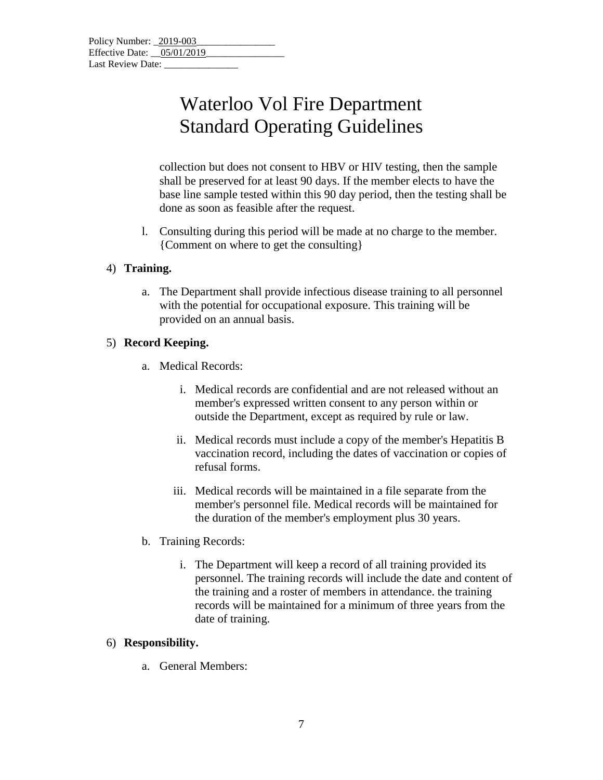collection but does not consent to HBV or HIV testing, then the sample shall be preserved for at least 90 days. If the member elects to have the base line sample tested within this 90 day period, then the testing shall be done as soon as feasible after the request.

l. Consulting during this period will be made at no charge to the member. {Comment on where to get the consulting}

### 4) **Training.**

a. The Department shall provide infectious disease training to all personnel with the potential for occupational exposure. This training will be provided on an annual basis.

### 5) **Record Keeping.**

- a. Medical Records:
	- i. Medical records are confidential and are not released without an member's expressed written consent to any person within or outside the Department, except as required by rule or law.
	- ii. Medical records must include a copy of the member's Hepatitis B vaccination record, including the dates of vaccination or copies of refusal forms.
	- iii. Medical records will be maintained in a file separate from the member's personnel file. Medical records will be maintained for the duration of the member's employment plus 30 years.
- b. Training Records:
	- i. The Department will keep a record of all training provided its personnel. The training records will include the date and content of the training and a roster of members in attendance. the training records will be maintained for a minimum of three years from the date of training.

#### 6) **Responsibility.**

a. General Members: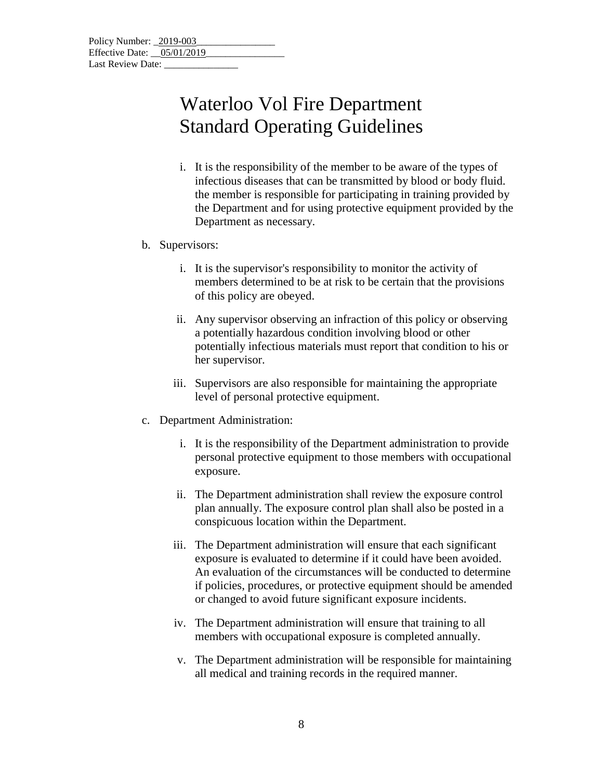i. It is the responsibility of the member to be aware of the types of infectious diseases that can be transmitted by blood or body fluid. the member is responsible for participating in training provided by the Department and for using protective equipment provided by the Department as necessary.

#### b. Supervisors:

- i. It is the supervisor's responsibility to monitor the activity of members determined to be at risk to be certain that the provisions of this policy are obeyed.
- ii. Any supervisor observing an infraction of this policy or observing a potentially hazardous condition involving blood or other potentially infectious materials must report that condition to his or her supervisor.
- iii. Supervisors are also responsible for maintaining the appropriate level of personal protective equipment.
- c. Department Administration:
	- i. It is the responsibility of the Department administration to provide personal protective equipment to those members with occupational exposure.
	- ii. The Department administration shall review the exposure control plan annually. The exposure control plan shall also be posted in a conspicuous location within the Department.
	- iii. The Department administration will ensure that each significant exposure is evaluated to determine if it could have been avoided. An evaluation of the circumstances will be conducted to determine if policies, procedures, or protective equipment should be amended or changed to avoid future significant exposure incidents.
	- iv. The Department administration will ensure that training to all members with occupational exposure is completed annually.
	- v. The Department administration will be responsible for maintaining all medical and training records in the required manner.